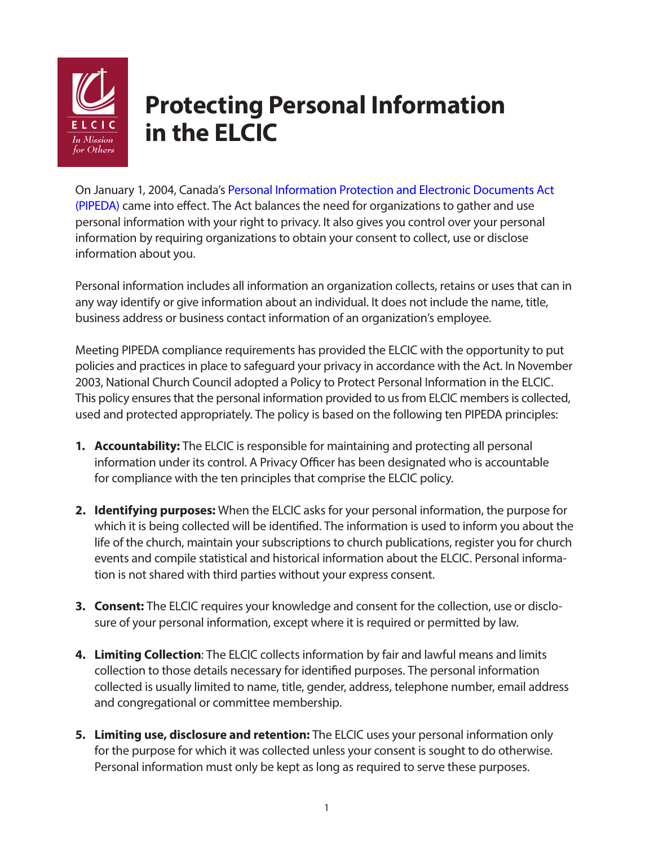

## **Protecting Personal Information in the ELCIC**

On January 1, 2004, Canada's [Personal Information Protection and Electronic Documents Act](https://www.priv.gc.ca/en/privacy-topics/privacy-laws-in-canada/the-personal-information-protection-and-electronic-documents-act-pipeda/pipeda_brief/)  [\(PIPEDA\)](https://www.priv.gc.ca/en/privacy-topics/privacy-laws-in-canada/the-personal-information-protection-and-electronic-documents-act-pipeda/pipeda_brief/) came into effect. The Act balances the need for organizations to gather and use personal information with your right to privacy. It also gives you control over your personal information by requiring organizations to obtain your consent to collect, use or disclose information about you.

Personal information includes all information an organization collects, retains or uses that can in any way identify or give information about an individual. It does not include the name, title, business address or business contact information of an organization's employee.

Meeting PIPEDA compliance requirements has provided the ELCIC with the opportunity to put policies and practices in place to safeguard your privacy in accordance with the Act. In November 2003, National Church Council adopted a Policy to Protect Personal Information in the ELCIC. This policy ensures that the personal information provided to us from ELCIC members is collected, used and protected appropriately. The policy is based on the following ten PIPEDA principles:

- **1. Accountability:** The ELCIC is responsible for maintaining and protecting all personal information under its control. A Privacy Officer has been designated who is accountable for compliance with the ten principles that comprise the ELCIC policy.
- **2. Identifying purposes:** When the ELCIC asks for your personal information, the purpose for which it is being collected will be identified. The information is used to inform you about the life of the church, maintain your subscriptions to church publications, register you for church events and compile statistical and historical information about the ELCIC. Personal information is not shared with third parties without your express consent.
- **3. Consent:** The ELCIC requires your knowledge and consent for the collection, use or disclosure of your personal information, except where it is required or permitted by law.
- **4. Limiting Collection**: The ELCIC collects information by fair and lawful means and limits collection to those details necessary for identified purposes. The personal information collected is usually limited to name, title, gender, address, telephone number, email address and congregational or committee membership.
- **5. Limiting use, disclosure and retention:** The ELCIC uses your personal information only for the purpose for which it was collected unless your consent is sought to do otherwise. Personal information must only be kept as long as required to serve these purposes.